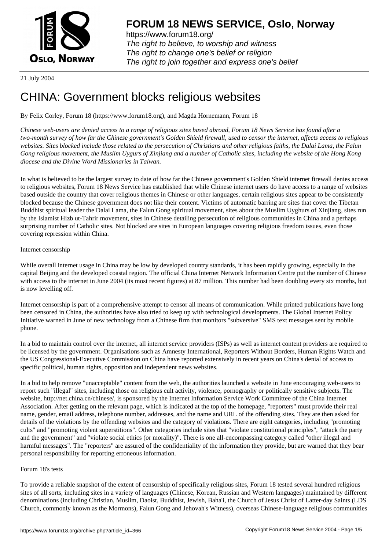

https://www.forum18.org/ The right to believe, to worship and witness The right to change one's belief or religion [The right to join together a](https://www.forum18.org/)nd express one's belief

21 July 2004

# [CHINA: Govern](https://www.forum18.org)ment blocks religious websites

By Felix Corley, Forum 18 (https://www.forum18.org), and Magda Hornemann, Forum 18

*Chinese web-users are denied access to a range of religious sites based abroad, Forum 18 News Service has found after a two-month survey of how far the Chinese government's Golden Shield firewall, used to censor the internet, affects access to religious websites. Sites blocked include those related to the persecution of Christians and other religious faiths, the Dalai Lama, the Falun Gong religious movement, the Muslim Uygurs of Xinjiang and a number of Catholic sites, including the website of the Hong Kong diocese and the Divine Word Missionaries in Taiwan.*

In what is believed to be the largest survey to date of how far the Chinese government's Golden Shield internet firewall denies access to religious websites, Forum 18 News Service has established that while Chinese internet users do have access to a range of websites based outside the country that cover religious themes in Chinese or other languages, certain religious sites appear to be consistently blocked because the Chinese government does not like their content. Victims of automatic barring are sites that cover the Tibetan Buddhist spiritual leader the Dalai Lama, the Falun Gong spiritual movement, sites about the Muslim Uyghurs of Xinjiang, sites run by the Islamist Hizb ut-Tahrir movement, sites in Chinese detailing persecution of religious communities in China and a perhaps surprising number of Catholic sites. Not blocked are sites in European languages covering religious freedom issues, even those covering repression within China.

### Internet censorship

While overall internet usage in China may be low by developed country standards, it has been rapidly growing, especially in the capital Beijing and the developed coastal region. The official China Internet Network Information Centre put the number of Chinese with access to the internet in June 2004 (its most recent figures) at 87 million. This number had been doubling every six months, but is now levelling off.

Internet censorship is part of a comprehensive attempt to censor all means of communication. While printed publications have long been censored in China, the authorities have also tried to keep up with technological developments. The Global Internet Policy Initiative warned in June of new technology from a Chinese firm that monitors "subversive" SMS text messages sent by mobile phone.

In a bid to maintain control over the internet, all internet service providers (ISPs) as well as internet content providers are required to be licensed by the government. Organisations such as Amnesty International, Reporters Without Borders, Human Rights Watch and the US Congressional-Executive Commission on China have reported extensively in recent years on China's denial of access to specific political, human rights, opposition and independent news websites.

In a bid to help remove "unacceptable" content from the web, the authorities launched a website in June encouraging web-users to report such "illegal" sites, including those on religious cult activity, violence, pornography or politically sensitive subjects. The website, http://net.china.cn/chinese/, is sponsored by the Internet Information Service Work Committee of the China Internet Association. After getting on the relevant page, which is indicated at the top of the homepage, "reporters" must provide their real name, gender, email address, telephone number, addresses, and the name and URL of the offending sites. They are then asked for details of the violations by the offending websites and the category of violations. There are eight categories, including "promoting cults" and "promoting violent superstitions". Other categories include sites that "violate constitutional principles", "attack the party and the government" and "violate social ethics (or morality)". There is one all-encompassing category called "other illegal and harmful messages". The "reporters" are assured of the confidentiality of the information they provide, but are warned that they bear personal responsibility for reporting erroneous information.

# Forum 18's tests

To provide a reliable snapshot of the extent of censorship of specifically religious sites, Forum 18 tested several hundred religious sites of all sorts, including sites in a variety of languages (Chinese, Korean, Russian and Western languages) maintained by different denominations (including Christian, Muslim, Daoist, Buddhist, Jewish, Baha'i, the Church of Jesus Christ of Latter-day Saints (LDS Church, commonly known as the Mormons), Falun Gong and Jehovah's Witness), overseas Chinese-language religious communities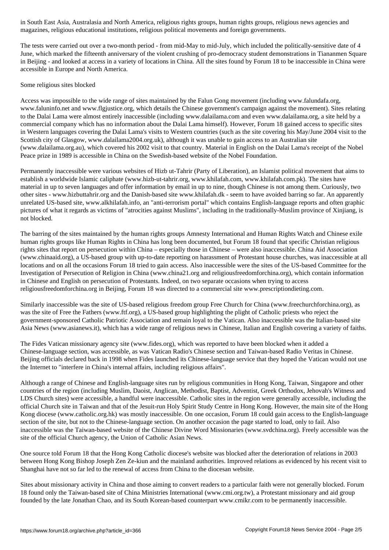magazines, religious educational institutions, religious political movements and foreign governments.

The tests were carried out over a two-month period - from mid-May to mid-July, which included the politically-sensitive date of 4 June, which marked the fifteenth anniversary of the violent crushing of pro-democracy student demonstrations in Tiananmen Square in Beijing - and looked at access in a variety of locations in China. All the sites found by Forum 18 to be inaccessible in China were accessible in Europe and North America.

## Some religious sites blocked

Access was impossible to the wide range of sites maintained by the Falun Gong movement (including www.falundafa.org, www.faluninfo.net and www.flgjustice.org, which details the Chinese government's campaign against the movement). Sites relating to the Dalai Lama were almost entirely inaccessible (including www.dalailama.com and even www.dalailama.org, a site held by a commercial company which has no information about the Dalai Lama himself). However, Forum 18 gained access to specific sites in Western languages covering the Dalai Lama's visits to Western countries (such as the site covering his May/June 2004 visit to the Scottish city of Glasgow, www.dalailama2004.org.uk), although it was unable to gain access to an Australian site (www.dalailama.org.au), which covered his 2002 visit to that country. Material in English on the Dalai Lama's receipt of the Nobel Peace prize in 1989 is accessible in China on the Swedish-based website of the Nobel Foundation.

Permanently inaccessible were various websites of Hizb ut-Tahrir (Party of Liberation), an Islamist political movement that aims to establish a worldwide Islamic caliphate (www.hizb-ut-tahrir.org, www.khilafah.com, www.khilafah.com.pk). The sites have material in up to seven languages and offer information by email in up to nine, though Chinese is not among them. Curiously, two other sites - www.hizbuttahrir.org and the Danish-based site www.khilafah.dk - seem to have avoided barring so far. An apparently unrelated US-based site, www.alkhilafah.info, an "anti-terrorism portal" which contains English-language reports and often graphic pictures of what it regards as victims of "atrocities against Muslims", including in the traditionally-Muslim province of Xinjiang, is not blocked.

The barring of the sites maintained by the human rights groups Amnesty International and Human Rights Watch and Chinese exile human rights groups like Human Rights in China has long been documented, but Forum 18 found that specific Christian religious rights sites that report on persecution within China – especially those in Chinese – were also inaccessible. China Aid Association (www.chinaaid.org), a US-based group with up-to-date reporting on harassment of Protestant house churches, was inaccessible at all locations and on all the occasions Forum 18 tried to gain access. Also inaccessible were the sites of the US-based Committee for the Investigation of Persecution of Religion in China (www.china21.org and religiousfreedomforchina.org), which contain information in Chinese and English on persecution of Protestants. Indeed, on two separate occasions when trying to access religiousfreedomforchina.org in Beijing, Forum 18 was directed to a commercial site www.prescriptiondieting.com.

Similarly inaccessible was the site of US-based religious freedom group Free Church for China (www.freechurchforchina.org), as was the site of Free the Fathers (www.ftf.org), a US-based group highlighting the plight of Catholic priests who reject the government-sponsored Catholic Patriotic Association and remain loyal to the Vatican. Also inaccessible was the Italian-based site Asia News (www.asianews.it), which has a wide range of religious news in Chinese, Italian and English covering a variety of faiths.

The Fides Vatican missionary agency site (www.fides.org), which was reported to have been blocked when it added a Chinese-language section, was accessible, as was Vatican Radio's Chinese section and Taiwan-based Radio Veritas in Chinese. Beijing officials declared back in 1998 when Fides launched its Chinese-language service that they hoped the Vatican would not use the Internet to "interfere in China's internal affairs, including religious affairs".

Although a range of Chinese and English-language sites run by religious communities in Hong Kong, Taiwan, Singapore and other countries of the region (including Muslim, Daoist, Anglican, Methodist, Baptist, Adventist, Greek Orthodox, Jehovah's Witness and LDS Church sites) were accessible, a handful were inaccessible. Catholic sites in the region were generally accessible, including the official Church site in Taiwan and that of the Jesuit-run Holy Spirit Study Centre in Hong Kong. However, the main site of the Hong Kong diocese (www.catholic.org.hk) was mostly inaccessible. On one occasion, Forum 18 could gain access to the English-language section of the site, but not to the Chinese-language section. On another occasion the page started to load, only to fail. Also inaccessible was the Taiwan-based website of the Chinese Divine Word Missionaries (www.svdchina.org). Freely accessible was the site of the official Church agency, the Union of Catholic Asian News.

One source told Forum 18 that the Hong Kong Catholic diocese's website was blocked after the deterioration of relations in 2003 between Hong Kong Bishop Joseph Zen Ze-kiun and the mainland authorities. Improved relations as evidenced by his recent visit to Shanghai have not so far led to the renewal of access from China to the diocesan website.

Sites about missionary activity in China and those aiming to convert readers to a particular faith were not generally blocked. Forum 18 found only the Taiwan-based site of China Ministries International (www.cmi.org.tw), a Protestant missionary and aid group founded by the late Jonathan Chao, and its South Korean-based counterpart www.cmikr.com to be permanently inaccessible.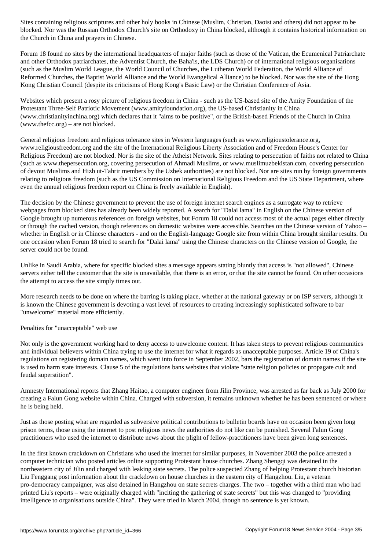blocked. Nor was the Russian Orthodox Church's site on Orthodoxy in China blocked, although it contains historical information on the Church in China and prayers in Chinese.

Forum 18 found no sites by the international headquarters of major faiths (such as those of the Vatican, the Ecumenical Patriarchate and other Orthodox patriarchates, the Adventist Church, the Baha'is, the LDS Church) or of international religious organisations (such as the Muslim World League, the World Council of Churches, the Lutheran World Federation, the World Alliance of Reformed Churches, the Baptist World Alliance and the World Evangelical Alliance) to be blocked. Nor was the site of the Hong Kong Christian Council (despite its criticisms of Hong Kong's Basic Law) or the Christian Conference of Asia.

Websites which present a rosy picture of religious freedom in China - such as the US-based site of the Amity Foundation of the Protestant Three-Self Patriotic Movement (www.amityfoundation.org), the US-based Christianity in China (www.christianityinchina.org) which declares that it "aims to be positive", or the British-based Friends of the Church in China (www.thefcc.org) – are not blocked.

General religious freedom and religious tolerance sites in Western languages (such as www.religioustolerance.org, www.religiousfreedom.org and the site of the International Religious Liberty Association and of Freedom House's Center for Religious Freedom) are not blocked. Nor is the site of the Atheist Network. Sites relating to persecution of faiths not related to China (such as www.thepersecution.org, covering persecution of Ahmadi Muslims, or www.muslimuzbekistan.com, covering persecution of devout Muslims and Hizb ut-Tahrir members by the Uzbek authorities) are not blocked. Nor are sites run by foreign governments relating to religious freedom (such as the US Commission on International Religious Freedom and the US State Department, where even the annual religious freedom report on China is freely available in English).

The decision by the Chinese government to prevent the use of foreign internet search engines as a surrogate way to retrieve webpages from blocked sites has already been widely reported. A search for "Dalai lama" in English on the Chinese version of Google brought up numerous references on foreign websites, but Forum 18 could not access most of the actual pages either directly or through the cached version, though references on domestic websites were accessible. Searches on the Chinese version of Yahoo – whether in English or in Chinese characters - and on the English-language Google site from within China brought similar results. On one occasion when Forum 18 tried to search for "Dalai lama" using the Chinese characters on the Chinese version of Google, the server could not be found.

Unlike in Saudi Arabia, where for specific blocked sites a message appears stating bluntly that access is "not allowed", Chinese servers either tell the customer that the site is unavailable, that there is an error, or that the site cannot be found. On other occasions the attempt to access the site simply times out.

More research needs to be done on where the barring is taking place, whether at the national gateway or on ISP servers, although it is known the Chinese government is devoting a vast level of resources to creating increasingly sophisticated software to bar "unwelcome" material more efficiently.

Penalties for "unacceptable" web use

Not only is the government working hard to deny access to unwelcome content. It has taken steps to prevent religious communities and individual believers within China trying to use the internet for what it regards as unacceptable purposes. Article 19 of China's regulations on registering domain names, which went into force in September 2002, bars the registration of domain names if the site is used to harm state interests. Clause 5 of the regulations bans websites that violate "state religion policies or propagate cult and feudal superstition".

Amnesty International reports that Zhang Haitao, a computer engineer from Jilin Province, was arrested as far back as July 2000 for creating a Falun Gong website within China. Charged with subversion, it remains unknown whether he has been sentenced or where he is being held.

Just as those posting what are regarded as subversive political contributions to bulletin boards have on occasion been given long prison terms, those using the internet to post religious news the authorities do not like can be punished. Several Falun Gong practitioners who used the internet to distribute news about the plight of fellow-practitioners have been given long sentences.

In the first known crackdown on Christians who used the internet for similar purposes, in November 2003 the police arrested a computer technician who posted articles online supporting Protestant house churches. Zhang Shengqi was detained in the northeastern city of Jilin and charged with leaking state secrets. The police suspected Zhang of helping Protestant church historian Liu Fenggang post information about the crackdown on house churches in the eastern city of Hangzhou. Liu, a veteran pro-democracy campaigner, was also detained in Hangzhou on state secrets charges. The two – together with a third man who had printed Liu's reports – were originally charged with "inciting the gathering of state secrets" but this was changed to "providing intelligence to organisations outside China". They were tried in March 2004, though no sentence is yet known.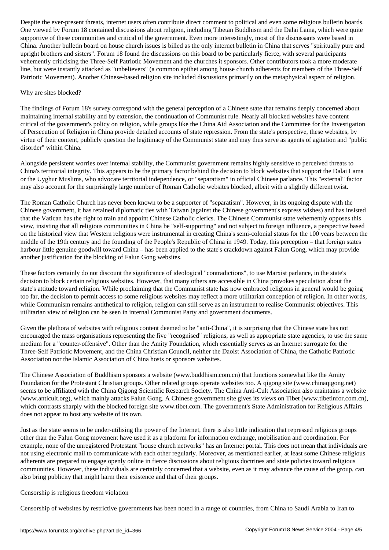One viewed by Forum 18 contained discussions about religion, including Tibetan Buddhism and the Dalai Lama, which were quite supportive of these communities and critical of the government. Even more interestingly, most of the discussants were based in China. Another bulletin board on house church issues is billed as the only internet bulletin in China that serves "spiritually pure and upright brothers and sisters". Forum 18 found the discussions on this board to be particularly fierce, with several participants vehemently criticising the Three-Self Patriotic Movement and the churches it sponsors. Other contributors took a more moderate line, but were instantly attacked as "unbelievers" (a common epithet among house church adherents for members of the Three-Self Patriotic Movement). Another Chinese-based religion site included discussions primarily on the metaphysical aspect of religion.

### Why are sites blocked?

The findings of Forum 18's survey correspond with the general perception of a Chinese state that remains deeply concerned about maintaining internal stability and by extension, the continuation of Communist rule. Nearly all blocked websites have content critical of the government's policy on religion, while groups like the China Aid Association and the Committee for the Investigation of Persecution of Religion in China provide detailed accounts of state repression. From the state's perspective, these websites, by virtue of their content, publicly question the legitimacy of the Communist state and may thus serve as agents of agitation and "public disorder" within China.

Alongside persistent worries over internal stability, the Communist government remains highly sensitive to perceived threats to China's territorial integrity. This appears to be the primary factor behind the decision to block websites that support the Dalai Lama or the Uyghur Muslims, who advocate territorial independence, or "separatism" in official Chinese parlance. This "external" factor may also account for the surprisingly large number of Roman Catholic websites blocked, albeit with a slightly different twist.

The Roman Catholic Church has never been known to be a supporter of "separatism". However, in its ongoing dispute with the Chinese government, it has retained diplomatic ties with Taiwan (against the Chinese government's express wishes) and has insisted that the Vatican has the right to train and appoint Chinese Catholic clerics. The Chinese Communist state vehemently opposes this view, insisting that all religious communities in China be "self-supporting" and not subject to foreign influence, a perspective based on the historical view that Western religions were instrumental in creating China's semi-colonial status for the 100 years between the middle of the 19th century and the founding of the People's Republic of China in 1949. Today, this perception – that foreign states harbour little genuine goodwill toward China – has been applied to the state's crackdown against Falun Gong, which may provide another justification for the blocking of Falun Gong websites.

These factors certainly do not discount the significance of ideological "contradictions", to use Marxist parlance, in the state's decision to block certain religious websites. However, that many others are accessible in China provokes speculation about the state's attitude toward religion. While proclaiming that the Communist state has now embraced religions in general would be going too far, the decision to permit access to some religious websites may reflect a more utilitarian conception of religion. In other words, while Communism remains antithetical to religion, religion can still serve as an instrument to realise Communist objectives. This utilitarian view of religion can be seen in internal Communist Party and government documents.

Given the plethora of websites with religious content deemed to be "anti-China", it is surprising that the Chinese state has not encouraged the mass organisations representing the five "recognised" religions, as well as appropriate state agencies, to use the same medium for a "counter-offensive". Other than the Amity Foundation, which essentially serves as an Internet surrogate for the Three-Self Patriotic Movement, and the China Christian Council, neither the Daoist Association of China, the Catholic Patriotic Association nor the Islamic Association of China hosts or sponsors websites.

The Chinese Association of Buddhism sponsors a website (www.buddhism.com.cn) that functions somewhat like the Amity Foundation for the Protestant Christian groups. Other related groups operate websites too. A qigong site (www.chinaqigong.net) seems to be affiliated with the China Qigong Scientific Research Society. The China Anti-Cult Association also maintains a website (www.anticult.org), which mainly attacks Falun Gong. A Chinese government site gives its views on Tibet (www.tibetinfor.com.cn), which contrasts sharply with the blocked foreign site www.tibet.com. The government's State Administration for Religious Affairs does not appear to host any website of its own.

Just as the state seems to be under-utilising the power of the Internet, there is also little indication that repressed religious groups other than the Falun Gong movement have used it as a platform for information exchange, mobilisation and coordination. For example, none of the unregistered Protestant "house church networks" has an Internet portal. This does not mean that individuals are not using electronic mail to communicate with each other regularly. Moreover, as mentioned earlier, at least some Chinese religious adherents are prepared to engage openly online in fierce discussions about religious doctrines and state policies toward religious communities. However, these individuals are certainly concerned that a website, even as it may advance the cause of the group, can also bring publicity that might harm their existence and that of their groups.

#### Censorship is religious freedom violation

Censorship of websites by restrictive governments has been noted in a range of countries, from China to Saudi Arabia to Iran to